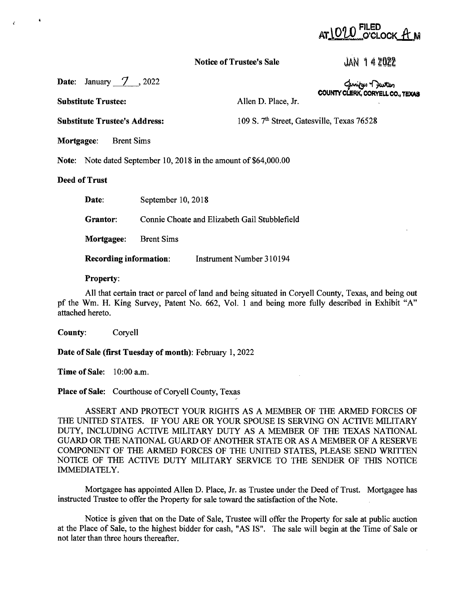# o'clock A' m

## **Notice of Trustee's Sale**

JAN 142022

**Date:** January 7, 2022

**Substitute Trustee:** 

Allen D. Place, Jr.

**COUNTY CLERK,**  ~ **CORYELL** ~ **CO., TEXAS** 

**Substitute Trustee's Address:** 109 S. 7<sup>th</sup> Street, Gatesville, Texas 76528

**Mortgagee:** Brent Sims

**Note:** Note dated September 10, 2018 in the amount of \$64,000.00

## **Deed of Trust**

| Date:                                                     | September 10, 2018                            |
|-----------------------------------------------------------|-----------------------------------------------|
| Grantor:                                                  | Connie Choate and Elizabeth Gail Stubblefield |
| <b>Mortgagee:</b> Brent Sims                              |                                               |
| <b>Recording information:</b><br>Instrument Number 310194 |                                               |

#### **Property:**

All that certain tract or parcel of land and being situated in Coryell County, Texas, and being out pf the Wm. H. King Survey, Patent No. 662, Vol. 1 and being more fully described in Exhibit "A" attached hereto.

**County:** Coryell

**Date of Sale (first Tuesday of month):** February 1, 2022

**Time of Sale:** 10:00 a.m.

**Place of Sale:** Courthouse of Coryell County, Texas

ASSERT AND PROTECT YOUR RIGHTS AS A MEMBER OF THE ARMED FORCES OF THE UNITED STATES. IF YOU ARE OR YOUR SPOUSE IS SERVING ON ACTIVE MILITARY DUTY, INCLUDING ACTIVE MILITARY DUTY AS A MEMBER OF THE TEXAS NATIONAL GUARD OR THE NATIONAL GUARD OF ANOTHER STATE OR AS A MEMBER OF A RESERVE COMPONENT OF THE ARMED FORCES OF THE UNITED STATES, PLEASE SEND WRITTEN NOTICE OF THE ACTIVE DUTY MILITARY SERVICE TO THE SENDER OF THIS NOTICE IMMEDIATELY.

Mortgagee has appointed Allen D. Place, Jr. as Trustee under the Deed of Trust. Mortgagee has instructed Trustee to offer the Property for sale toward the satisfaction of the Note.

Notice is given that on the Date of Sale, Trustee will offer the Property for sale at public auction at the Place of Sale, to the highest bidder for cash, "AS IS". The sale will begin at the Time of Sale or not later than three hours thereafter.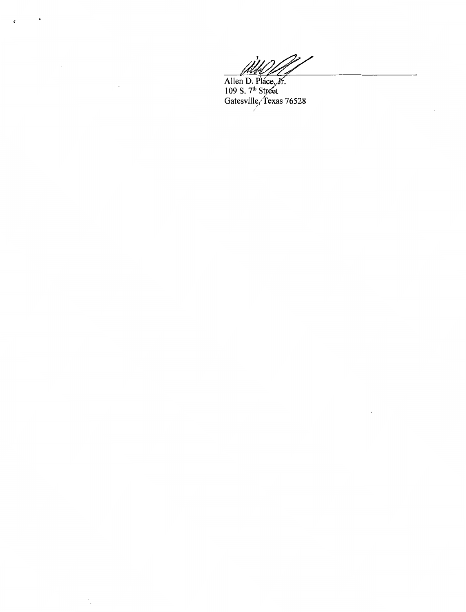$\overline{\phantom{a}}$ 

Allen D. Pláce, Jr.<br>109 S. 7<sup>th</sup> Street<br>Gatesville, Texas 76528

 $\boldsymbol{\dot{z}}$ 

 $\ddot{\phantom{a}}$ 

Ì,